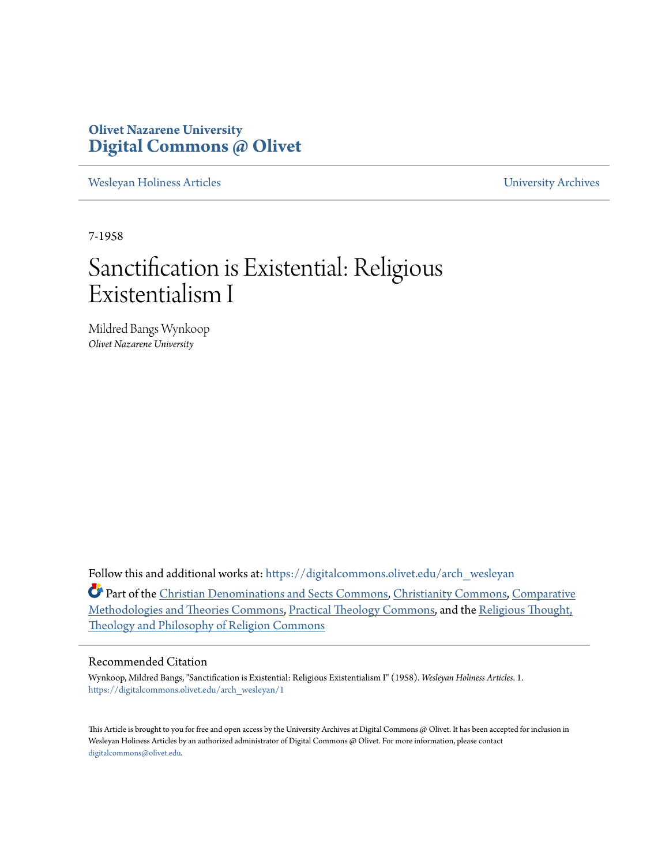## **Olivet Nazarene University [Digital Commons @ Olivet](https://digitalcommons.olivet.edu?utm_source=digitalcommons.olivet.edu%2Farch_wesleyan%2F1&utm_medium=PDF&utm_campaign=PDFCoverPages)**

[Wesleyan Holiness Articles](https://digitalcommons.olivet.edu/arch_wesleyan?utm_source=digitalcommons.olivet.edu%2Farch_wesleyan%2F1&utm_medium=PDF&utm_campaign=PDFCoverPages) **Wesleyan Holiness Articles** [University Archives](https://digitalcommons.olivet.edu/arch?utm_source=digitalcommons.olivet.edu%2Farch_wesleyan%2F1&utm_medium=PDF&utm_campaign=PDFCoverPages)

7-1958

# Sanctification is Existential: Religious Existentialism I

Mildred Bangs Wynkoop *Olivet Nazarene University*

Follow this and additional works at: [https://digitalcommons.olivet.edu/arch\\_wesleyan](https://digitalcommons.olivet.edu/arch_wesleyan?utm_source=digitalcommons.olivet.edu%2Farch_wesleyan%2F1&utm_medium=PDF&utm_campaign=PDFCoverPages)

Part of the [Christian Denominations and Sects Commons](http://network.bepress.com/hgg/discipline/1184?utm_source=digitalcommons.olivet.edu%2Farch_wesleyan%2F1&utm_medium=PDF&utm_campaign=PDFCoverPages), [Christianity Commons,](http://network.bepress.com/hgg/discipline/1181?utm_source=digitalcommons.olivet.edu%2Farch_wesleyan%2F1&utm_medium=PDF&utm_campaign=PDFCoverPages) [Comparative](http://network.bepress.com/hgg/discipline/540?utm_source=digitalcommons.olivet.edu%2Farch_wesleyan%2F1&utm_medium=PDF&utm_campaign=PDFCoverPages) [Methodologies and Theories Commons,](http://network.bepress.com/hgg/discipline/540?utm_source=digitalcommons.olivet.edu%2Farch_wesleyan%2F1&utm_medium=PDF&utm_campaign=PDFCoverPages) [Practical Theology Commons,](http://network.bepress.com/hgg/discipline/1186?utm_source=digitalcommons.olivet.edu%2Farch_wesleyan%2F1&utm_medium=PDF&utm_campaign=PDFCoverPages) and the [Religious Thought,](http://network.bepress.com/hgg/discipline/544?utm_source=digitalcommons.olivet.edu%2Farch_wesleyan%2F1&utm_medium=PDF&utm_campaign=PDFCoverPages) [Theology and Philosophy of Religion Commons](http://network.bepress.com/hgg/discipline/544?utm_source=digitalcommons.olivet.edu%2Farch_wesleyan%2F1&utm_medium=PDF&utm_campaign=PDFCoverPages)

### Recommended Citation

Wynkoop, Mildred Bangs, "Sanctification is Existential: Religious Existentialism I" (1958). *Wesleyan Holiness Articles*. 1. [https://digitalcommons.olivet.edu/arch\\_wesleyan/1](https://digitalcommons.olivet.edu/arch_wesleyan/1?utm_source=digitalcommons.olivet.edu%2Farch_wesleyan%2F1&utm_medium=PDF&utm_campaign=PDFCoverPages)

This Article is brought to you for free and open access by the University Archives at Digital Commons @ Olivet. It has been accepted for inclusion in Wesleyan Holiness Articles by an authorized administrator of Digital Commons @ Olivet. For more information, please contact [digitalcommons@olivet.edu.](mailto:digitalcommons@olivet.edu)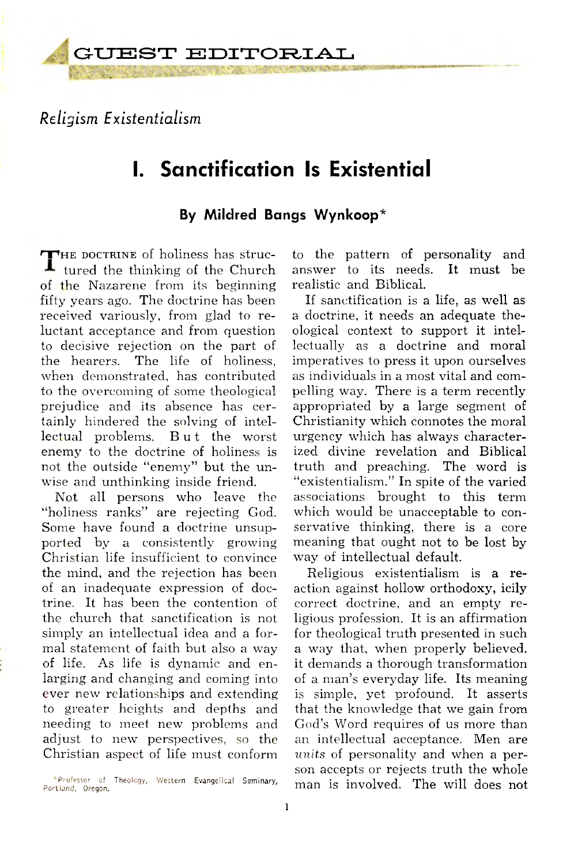## *Religism Existentialism*

# **I. Sanctification Is Existential**

#### By Mildred Bangs Wynkoop\*

 $\mathbf{\mathsf{\Gamma}_{HE}}$  doctrine of holiness has struc-**L** tured the thinking of the Church of the Nazarene from its beginning fifty years ago. The doctrine has been received variously, from glad to reluctant acceptance and from question to decisive rejection on the part of the hearers. The life of holiness, when demonstrated, has contributed to the overcoming of some theological prejudice and its absence has certainly hindered the solving of intellectual problems. But the worst enemy to the doctrine of holiness is not the outside "enemy" but the unwise and unthinking inside friend.

Not all persons who leave the "holiness ranks" are rejecting God. Some have found a doctrine unsupported by a consistently growing Christian life insufficient to convince the mind, and the rejection has been of an inadequate expression of doctrine. It has been the contention of the church that sanctification is not simply an intellectual idea and a formal statement of faith but also a way of life. As life is dynamic and enlarging and changing and coming into ever new relationships and extending to greater heights and depths and needing to meet new problems and adjust to new perspectives, so the Christian aspect of life must conform

to the pattern of personality and answer to its needs. It must be realistic and Biblical.

If sanctification is a life, as well as a doctrine, it needs an adequate theological context to support it intellectually as a doctrine and moral imperatives to press it upon ourselves as individuals in a most vital and com pelling way. There is a term recently appropriated by a large segment of Christianity which connotes the moral urgency which has always characterized divine revelation and Biblical truth and preaching. The word is " existentialism." In spite of the varied associations brought to this term which would be unacceptable to conservative thinking, there is a core meaning that ought not to be lost by way of intellectual default.

Religious existentialism is a reaction against hollow orthodoxy, icily correct doctrine, and an empty religious profession. It is an affirmation for theological truth presented in such a way that, when properly believed, it demands a thorough transformation of a man's everyday life. Its meaning is simple, yet profound. It asserts that the knowledge that we gain from God's Word requires of us more than an intellectual acceptance. Men are *units* of personality and when a person accepts or rejects truth the whole man is involved. The will does not

<sup>\*</sup>Professor of Theology, Western Evangelical Seminary, Portland, Oregon.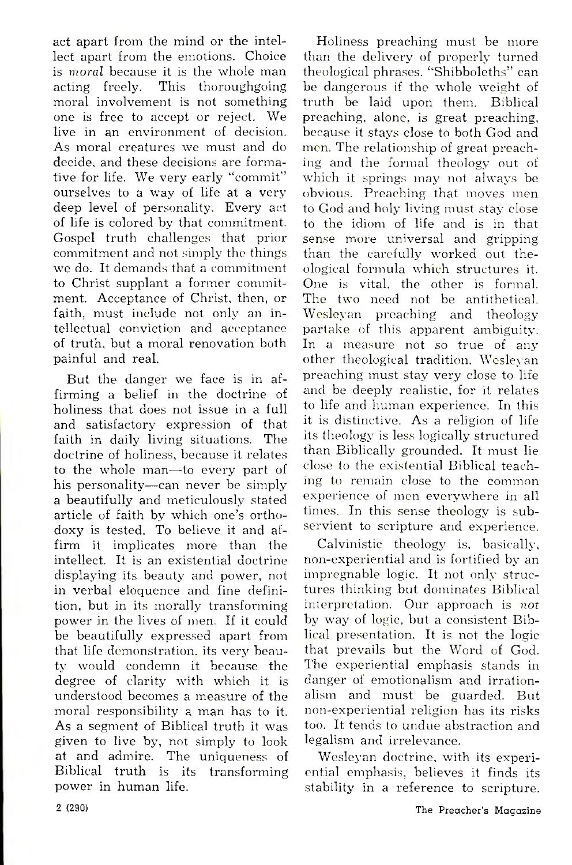act apart from the mind or the intellect apart from the emotions. Choice is *moral* because it is the whole man<br>acting freely. This thoroughgoing This thoroughgoing moral involvement is not something one is free to accept or reject. We live in an environment of decision. As moral creatures we must and do decide, and these decisions are formative for life. We very early "commit" ourselves to a way of life at a very deep level of personality. Every act of life is colored by that commitment. Gospel truth challenges that prior commitment and not simply the things we do. It demands that a commitment to Christ supplant a former commitment. Acceptance of Christ, then, or faith, must include not only an intellectual conviction and acceptance of truth, but a moral renovation both painful and real.

But the danger we face is in affirming a belief in the doctrine of holiness that does not issue in a full and satisfactory expression of that faith in daily living situations. The doctrine of holiness, because it relates to the whole man— to every part of his personality— can never be simply a beautifully and meticulously stated article of faith by which one's orthodoxy is tested. To believe it and affirm it implicates more than the intellect. It is an existential doctrine displaying its beauty and power, not in verbal eloquence and fine definition, but in its morally transforming power in the lives of men. If it could be beautifully expressed apart from that life demonstration, its very beauty would condemn it because the degree of clarity with which it is understood becomes a measure of the moral responsibility a man has to it. As a segment of Biblical truth it was given to live by, not simply to look at and admire. The uniqueness of Biblical truth is its transforming power in human life.

Holiness preaching must be more than the delivery of properly turned theological phrases. " Shibboleths" can be dangerous if the whole weight of truth be laid upon them. Biblical preaching, alone, is great preaching, because it stays close to both God and men. The relationship of great preaching and the formal theology out of which it springs may not always be obvious. Preaching that moves men to God and holy living must stay close to the idiom of life and is in that sense more universal and gripping than the carefully worked out theological form ula which structures it. One is vital, the other is formal. The two need not be antithetical. Wesleyan preaching and theology partake of this apparent ambiguity. In a measure not so true of any other theological tradition, Wesleyan preaching must stay very close to life and be deeply realistic, for it relates to life and human experience. In this it is distinctive. As a religion of life its theology is less logically structured than Biblically grounded. It must lie close to the existential Biblical teaching to remain close to the common experience of men everywhere in all times. In this sense theology is subservient to scripture and experience.

Calvinistic theology is, basically, non-experiential and is fortified by an impregnable logic. It not only structures thinking but dominates Biblical interpretation. Our approach is not by way of logic, but a consistent Biblical presentation. It is not the logic that prevails but the Word of God. The experiential emphasis stands in danger of emotionalism and irrationalism and must be guarded. But non-experiential religion has its risks too. It tends to undue abstraction and legalism and irrelevance.

Wesleyan doctrine, with its experiential emphasis, believes it finds its stability in a reference to scripture.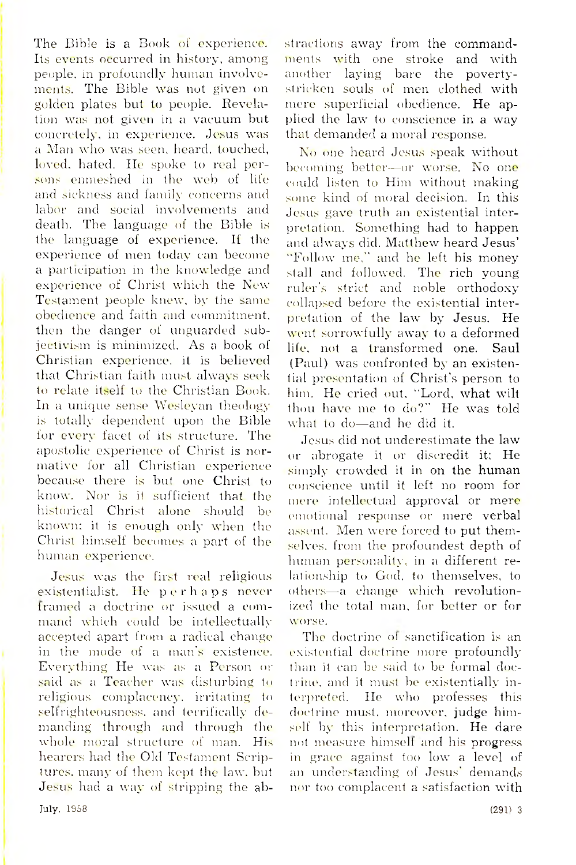The Bible is a Book of experience. Its events occurred in history, among people, in profoundly human involvements. The Bible was not given on golden plates but to people. Revelation was not given in a vacuum but concretely, in experience. Jesus was a Man who was seen, heard, touched, loved, hated. He spoke to real persons enmeshed in the web of life and sickness and iamily concerns and labor and social involvements and death. The language of the Bible is the language of experience. If the experience of men today can become a participation in the knowledge and experience of Christ which the New Testament people knew, by the same obedience and faith and commitment, then the danger of unguarded subjectivism is minimized. As a book of Christian experience, it is believed that Christian faith must always seek to relate itself to the Christian Book. In a unique sense Wesleyan theology is totally dependent upon the Bible for every facet of its structure. The apostolic experience of Christ is normative for all Christian experience because there is but one Christ to know. Nor is it sufficient that the historical Christ alone should be known; it is enough only when the Christ himself becomes a part of the human experience.

Jesus was the first real religious existentialist. He perhaps never framed a doctrine or issued a command which could be intellectually accepted apart from a radical change in the mode of a man's existence. Everything He was as a Person or said as a Teacher was disturbing to religious complacency, irritating to selfrighteousness, and terrifically demanding through and through the whole moral structure of man. His hearers had the Old Testament Scriptures, many of them kept the law. but Jesus had a way of stripping the ab-

stractions away from the commandments with one stroke and with another laying bare the povertystricken souls of men clothed with mere superficial obedience. He applied the law to conscience in a way that demanded a moral response.

No one heard Jesus speak without becoming better—or worse. No one could listen to Him without making some kind of moral decision. In this Jesus gave truth an existential interpretation. Something had to happen and always did. Matthew heard Jesus' "Follow me," and he left his money stall and followed. The rich young ruler's strict and noble orthodoxy collapsed before the existential interpretation of the law by Jesus. He went sorrowfully away to a deformed life, not a transformed one. Saul (Paul) was confronted by an existential presentation of Christ's person to him. He cried out, "Lord, what wilt thou have me to do?" He was told what to do— and he did it.

Jesus did not underestimate the law or abrogate it or discredit it: He simply crowded it in on the human conscience until it left no room for mere intellectual approval or mere emotional response or mere verbal assent. Men were forced to put themselves, from the profoundest depth of human personality, in a different relationship to God. to themselves, to others— a change which revolutionized the total man, for better or for worse.

The doctrine of sanctification is an existential doctrine more profoundly than it can be said to be formal doctrine. and it must be existentially interpreted. He who professes this doctrine must, moreover, judge himself by this interpretation. He dare not measure himself and his progress in grace against too low a level of an understanding of Jesus' demands nor too complacent a satisfaction with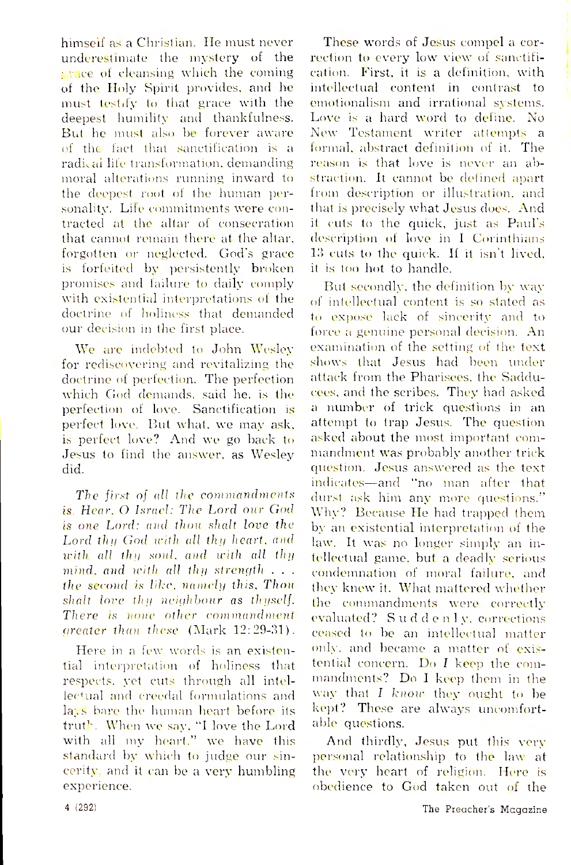himself as a Christian. He must never underestimate the mystery of the agace of cleansing which the coming of the Holy Spirit provides, and he must testify to that grace with the deepest humility and thankfulness. But he must also be forever aware of the fact that sanctification is a radical life transformation, demanding moral alterations running inward to the deepest root of the human personality. Life commitments were contracted at the altar of consecration that cannot remain there at the altar, forgotten or neglected. God's grace is forfeited by persistently broken promises and failure to daily comply with existential interpretations of the doctrine of holiness that demanded our decision in the first place.

We are indebted to John Wesley for rediscovering and revitalizing the doctrine of perfection. The perfection which God demands, said he, is the perfection of love. Sanctification is perfect love. But what, we may ask, is perfect love? And we go back to Jesus to find the answer, as Wesley did.

*The first of all the commandments is. Hear. O Israel: The Lord our God is one Lord: and than shalt love the Lord thy God with all thy heart, and with all thy soul, and with all thy mind, and with all thy strength . . . the second is like, namely this. Than shalt lore thy neighbour as thyself. There is none other commandment greater than these* (Mark 12:29-31).

Here in a few words is an existential interpretation of holiness that respects, yet cuts through all intellectual and creedal formulations and lays bare the human heart before its truth. When we say, "I love the Lord with all my heart," we have this standard by which to judge our sincerity, and it can be a very humbling experience.

These words of Jesus compel a correction to every low view of sanctification. First, it is a definition, with intellectual content in contrast to emotionalism and irrational systems. Love is a hard word to define. No New Testament writer attempts a lormal, abstract definition of it. The reason is that love is never an abstraction. It cannot be defined apart from description or illustration, and that is precisely what Jesus does. And it cuts to the quick, just as Paul's description of love in I Corinthians 13 cuts to the quick. If it isn't lived, it is too hot to handle.

But secondly, the definition by way of intellectual content is so stated as to expose lack of sincerity and to force a genuine personal decision. An examination of the setting of the text shows that Jesus had been under attack from the Pharisees, the Sadducees, and the scribes. They had asked a num ber of trick questions in an attempt to trap Jesus. The question asked about the most important commandment was probably another trick question. Jesus answered as the text indicates— and " no man after that durst ask him any more questions." Why? Because He had trapped them by an existential interpretation of the law. It was no longer simply an intellectual game, but a deadly serious condemnation of moral failure, and they knew it. What mattered whether the commandments were correctly evaluated? S u d d e n 1 y, corrections ceased to be an intellectual matter only, and became a matter of existential concern. Do *I* keep the commandments? Do I keep them in the way that *I know* they ought to be kept? These are always uncomfortable questions.

And thirdly, Jesus put this very personal relationship to the law at the very heart of religion. Here is obedience to God taken out of the